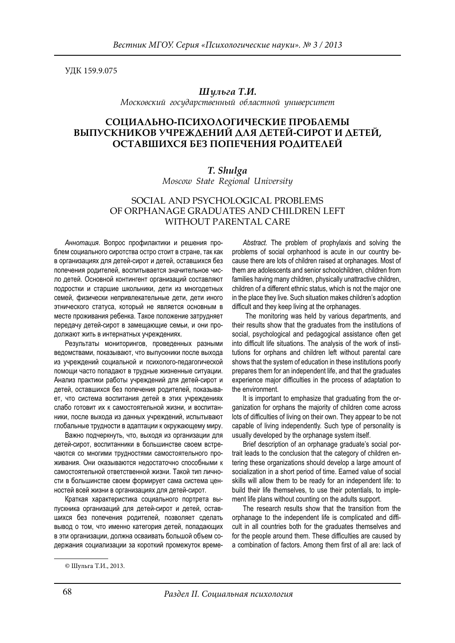УДК 159.9.075

## *Шульга Т.И.*

*Московский государственный областной университет*

## **СОЦИАЛЬНО-ПСИХОЛОГИЧЕСКИЕ ПРОБЛЕМЫ ВЫПУСКНИКОВ УЧРЕЖДЕНИЙ ДЛЯ ДЕТЕЙ-СИРОТ И ДЕТЕЙ, ОСТАВШИХСЯ БЕЗ ПОПЕЧЕНИЯ РОДИТЕЛЕЙ**

## *T. Shulga*

*Moscow State Regional University*

## SOCIAL AND PSYCHOLOGICAL PROBLEMS OF ORPHANAGE GRADUATES AND CHILDREN LEFT WITHOUT PARENTAL CARE

*Аннотация.* Вопрос профилактики и решения проблем социального сиротства остро стоит в стране, так как в организациях для детей-сирот и детей, оставшихся без попечения родителей, воспитывается значительное число детей. Основной контингент организаций составляют подростки и старшие школьники, дети из многодетных семей, физически непривлекательные дети, дети иного этнического статуса, который не является основным в месте проживания ребенка. Такое положение затрудняет передачу детей-сирот в замещающие семьи, и они продолжают жить в интернатных учреждениях.

Результаты мониторингов, проведенных разными ведомствами, показывают, что выпускники после выхода из учреждений социальной и психолого-педагогической помощи часто попадают в трудные жизненные ситуации. Анализ практики работы учреждений для детей-сирот и детей, оставшихся без попечения родителей, показывает, что система воспитания детей в этих учреждениях слабо готовит их к самостоятельной жизни, и воспитанники, после выхода из данных учреждений, испытывают глобальные трудности в адаптации к окружающему миру.

Важно подчеркнуть, что, выходя из организации для детей-сирот, воспитанники в большинстве своем встречаются со многими трудностями самостоятельного проживания. Они оказываются недостаточно способными к самостоятельной ответственной жизни. Такой тип личности в большинстве своем формирует сама система ценностей всей жизни в организациях для детей-сирот.

Краткая характеристика социального портрета выпускника организаций для детей-сирот и детей, оставшихся без попечения родителей, позволяет сделать вывод о том, что именно категория детей, попадающих в эти организации, должна осваивать большой объем содержания социализации за короткий промежуток време-

*Abstract.* The problem of prophylaxis and solving the problems of social orphanhood is acute in our country because there are lots of children raised at orphanages. Most of them are adolescents and senior schoolchildren, children from families having many children, physically unattractive children, children of a different ethnic status, which is not the major one in the place they live. Such situation makes children's adoption difficult and they keep living at the orphanages.

 The monitoring was held by various departments, and their results show that the graduates from the institutions of social, psychological and pedagogical assistance often get into difficult life situations. The analysis of the work of institutions for orphans and children left without parental care shows that the system of education in these institutions poorly prepares them for an independent life, and that the graduates experience major difficulties in the process of adaptation to the environment.

It is important to emphasize that graduating from the organization for orphans the majority of children come across lots of difficulties of living on their own. They appear to be not capable of living independently. Such type of personality is usually developed by the orphanage system itself.

Brief description of an orphanage graduate's social portrait leads to the conclusion that the category of children entering these organizations should develop a large amount of socialization in a short period of time. Earned value of social skills will allow them to be ready for an independent life: to build their life themselves, to use their potentials, to implement life plans without counting on the adults support.

The research results show that the transition from the orphanage to the independent life is complicated and difficult in all countries both for the graduates themselves and for the people around them. These difficulties are caused by a combination of factors. Among them first of all are: lack of

<sup>©</sup> Шульга Т.И., 2013.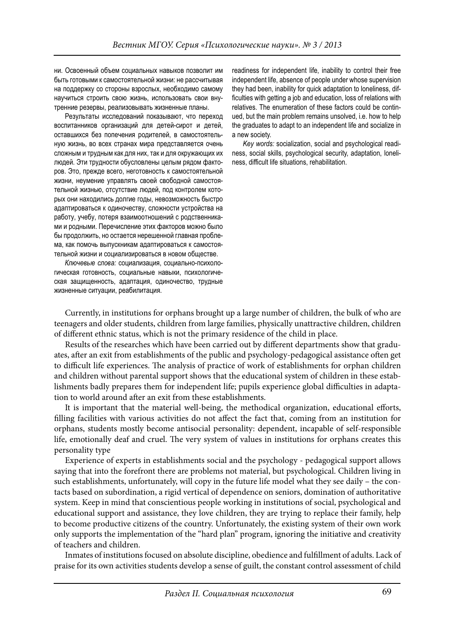ни. Освоенный объем социальных навыков позволит им быть готовыми к самостоятельной жизни: не рассчитывая на поддержку со стороны взрослых, необходимо самому научиться строить свою жизнь, использовать свои внутренние резервы, реализовывать жизненные планы.

Результаты исследований показывают, что переход воспитанников организаций для детей-сирот и детей, оставшихся без попечения родителей, в самостоятельную жизнь, во всех странах мира представляется очень сложным и трудным как для них, так и для окружающих их людей. Эти трудности обусловлены целым рядом факторов. Это, прежде всего, неготовность к самостоятельной жизни, неумение управлять своей свободной самостоятельной жизнью, отсутствие людей, под контролем которых они находились долгие годы, невозможность быстро адаптироваться к одиночеству, сложности устройства на работу, учебу, потеря взаимоотношений с родственниками и родными. Перечисление этих факторов можно было бы продолжить, но остается нерешенной главная проблема, как помочь выпускникам адаптироваться к самостоятельной жизни и социализироваться в новом обществе.

*Ключевые слова:* социализация, социально-психологическая готовность, социальные навыки, психологическая защищенность, адаптация, одиночество, трудные жизненные ситуации, реабилитация.

readiness for independent life, inability to control their free independent life, absence of people under whose supervision they had been, inability for quick adaptation to loneliness, difficulties with getting a job and education, loss of relations with relatives. The enumeration of these factors could be continued, but the main problem remains unsolved, i.e. how to help the graduates to adapt to an independent life and socialize in a new society.

*Key words:* socialization, social and psychological readiness, social skills, psychological security, adaptation, loneliness, difficult life situations, rehabilitation.

Currently, in institutions for orphans brought up a large number of children, the bulk of who are teenagers and older students, children from large families, physically unattractive children, children of different ethnic status, which is not the primary residence of the child in place.

Results of the researches which have been carried out by different departments show that graduates, after an exit from establishments of the public and psychology-pedagogical assistance often get to difficult life experiences. The analysis of practice of work of establishments for orphan children and children without parental support shows that the educational system of children in these establishments badly prepares them for independent life; pupils experience global difficulties in adaptation to world around after an exit from these establishments.

It is important that the material well-being, the methodical organization, educational efforts, filling facilities with various activities do not affect the fact that, coming from an institution for orphans, students mostly become antisocial personality: dependent, incapable of self-responsible life, emotionally deaf and cruel. The very system of values in institutions for orphans creates this personality type

Experience of experts in establishments social and the psychology - pedagogical support allows saying that into the forefront there are problems not material, but psychological. Children living in such establishments, unfortunately, will copy in the future life model what they see daily – the contacts based on subordination, a rigid vertical of dependence on seniors, domination of authoritative system. Keep in mind that conscientious people working in institutions of social, psychological and educational support and assistance, they love children, they are trying to replace their family, help to become productive citizens of the country. Unfortunately, the existing system of their own work only supports the implementation of the "hard plan" program, ignoring the initiative and creativity of teachers and children.

Inmates of institutions focused on absolute discipline, obedience and fulfillment of adults. Lack of praise for its own activities students develop a sense of guilt, the constant control assessment of child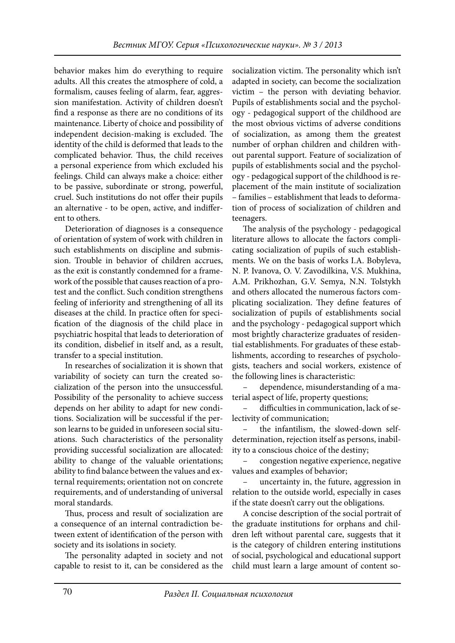behavior makes him do everything to require adults. All this creates the atmosphere of cold, a formalism, causes feeling of alarm, fear, aggression manifestation. Activity of children doesn't find a response as there are no conditions of its maintenance. Liberty of choice and possibility of independent decision-making is excluded. The identity of the child is deformed that leads to the complicated behavior. Thus, the child receives a personal experience from which excluded his feelings. Child can always make a choice: either to be passive, subordinate or strong, powerful, cruel. Such institutions do not offer their pupils an alternative - to be open, active, and indifferent to others.

Deterioration of diagnoses is a consequence of orientation of system of work with children in such establishments on discipline and submission. Trouble in behavior of children accrues, as the exit is constantly condemned for a framework of the possible that causes reaction of a protest and the conflict. Such condition strengthens feeling of inferiority and strengthening of all its diseases at the child. In practice often for specification of the diagnosis of the child place in psychiatric hospital that leads to deterioration of its condition, disbelief in itself and, as a result, transfer to a special institution.

In researches of socialization it is shown that variability of society can turn the created socialization of the person into the unsuccessful. Possibility of the personality to achieve success depends on her ability to adapt for new conditions. Socialization will be successful if the person learns to be guided in unforeseen social situations. Such characteristics of the personality providing successful socialization are allocated: ability to change of the valuable orientations; ability to find balance between the values and external requirements; orientation not on concrete requirements, and of understanding of universal moral standards.

Thus, process and result of socialization are a consequence of an internal contradiction between extent of identification of the person with society and its isolations in society.

The personality adapted in society and not capable to resist to it, can be considered as the

socialization victim. The personality which isn't adapted in society, can become the socialization victim – the person with deviating behavior. Pupils of establishments social and the psychology - pedagogical support of the childhood are the most obvious victims of adverse conditions of socialization, as among them the greatest number of orphan children and children without parental support. Feature of socialization of pupils of establishments social and the psychology - pedagogical support of the childhood is replacement of the main institute of socialization – families – establishment that leads to deformation of process of socialization of children and teenagers.

The analysis of the psychology - pedagogical literature allows to allocate the factors complicating socialization of pupils of such establishments. We on the basis of works I.A. Bobyleva, N. P. Ivanova, O. V. Zavodilkina, V.S. Mukhina, A.M. Prikhozhan, G.V. Semya, N.N. Tolstykh and others allocated the numerous factors complicating socialization. They define features of socialization of pupils of establishments social and the psychology - pedagogical support which most brightly characterize graduates of residential establishments. For graduates of these establishments, according to researches of psychologists, teachers and social workers, existence of the following lines is characteristic:

– dependence, misunderstanding of a material aspect of life, property questions;

difficulties in communication, lack of selectivity of communication;

– the infantilism, the slowed-down selfdetermination, rejection itself as persons, inability to a conscious choice of the destiny;

– congestion negative experience, negative values and examples of behavior;

– uncertainty in, the future, aggression in relation to the outside world, especially in cases if the state doesn't carry out the obligations.

A concise description of the social portrait of the graduate institutions for orphans and children left without parental care, suggests that it is the category of children entering institutions of social, psychological and educational support child must learn a large amount of content so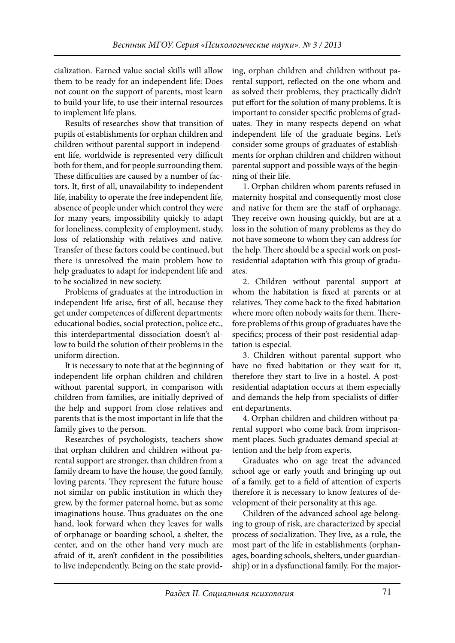cialization. Earned value social skills will allow them to be ready for an independent life: Does not count on the support of parents, most learn to build your life, to use their internal resources to implement life plans.

Results of researches show that transition of pupils of establishments for orphan children and children without parental support in independent life, worldwide is represented very difficult both for them, and for people surrounding them. These difficulties are caused by a number of factors. It, first of all, unavailability to independent life, inability to operate the free independent life, absence of people under which control they were for many years, impossibility quickly to adapt for loneliness, complexity of employment, study, loss of relationship with relatives and native. Transfer of these factors could be continued, but there is unresolved the main problem how to help graduates to adapt for independent life and to be socialized in new society.

Problems of graduates at the introduction in independent life arise, first of all, because they get under competences of different departments: educational bodies, social protection, police etc., this interdepartmental dissociation doesn't allow to build the solution of their problems in the uniform direction.

It is necessary to note that at the beginning of independent life orphan children and children without parental support, in comparison with children from families, are initially deprived of the help and support from close relatives and parents that is the most important in life that the family gives to the person.

Researches of psychologists, teachers show that orphan children and children without parental support are stronger, than children from a family dream to have the house, the good family, loving parents. They represent the future house not similar on public institution in which they grew, by the former paternal home, but as some imaginations house. Thus graduates on the one hand, look forward when they leaves for walls of orphanage or boarding school, a shelter, the center, and on the other hand very much are afraid of it, aren't confident in the possibilities to live independently. Being on the state providing, orphan children and children without parental support, reflected on the one whom and as solved their problems, they practically didn't put effort for the solution of many problems. It is important to consider specific problems of graduates. They in many respects depend on what independent life of the graduate begins. Let's consider some groups of graduates of establishments for orphan children and children without parental support and possible ways of the beginning of their life.

1. Orphan children whom parents refused in maternity hospital and consequently most close and native for them are the staff of orphanage. They receive own housing quickly, but are at a loss in the solution of many problems as they do not have someone to whom they can address for the help. There should be a special work on postresidential adaptation with this group of graduates.

2. Children without parental support at whom the habitation is fixed at parents or at relatives. They come back to the fixed habitation where more often nobody waits for them. Therefore problems of this group of graduates have the specifics; process of their post-residential adaptation is especial.

3. Children without parental support who have no fixed habitation or they wait for it, therefore they start to live in a hostel. A postresidential adaptation occurs at them especially and demands the help from specialists of different departments.

4. Orphan children and children without parental support who come back from imprisonment places. Such graduates demand special attention and the help from experts.

Graduates who on age treat the advanced school age or early youth and bringing up out of a family, get to a field of attention of experts therefore it is necessary to know features of development of their personality at this age.

Children of the advanced school age belonging to group of risk, are characterized by special process of socialization. They live, as a rule, the most part of the life in establishments (orphanages, boarding schools, shelters, under guardianship) or in a dysfunctional family. For the major-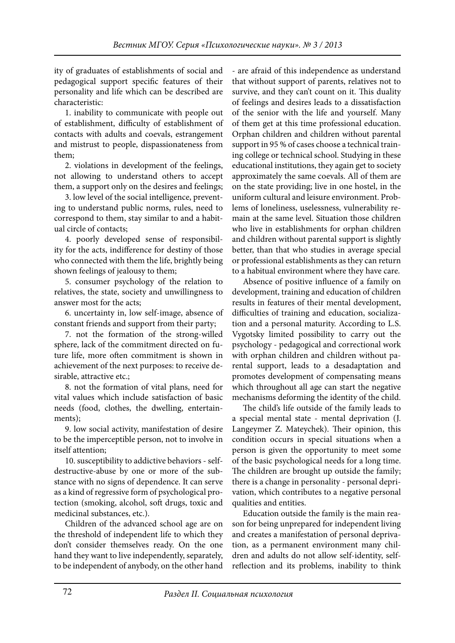ity of graduates of establishments of social and pedagogical support specific features of their personality and life which can be described are characteristic:

1. inability to communicate with people out of establishment, difficulty of establishment of contacts with adults and coevals, estrangement and mistrust to people, dispassionateness from them;

2. violations in development of the feelings, not allowing to understand others to accept them, a support only on the desires and feelings;

3. low level of the social intelligence, preventing to understand public norms, rules, need to correspond to them, stay similar to and a habitual circle of contacts;

4. poorly developed sense of responsibility for the acts, indifference for destiny of those who connected with them the life, brightly being shown feelings of jealousy to them;

5. consumer psychology of the relation to relatives, the state, society and unwillingness to answer most for the acts;

6. uncertainty in, low self-image, absence of constant friends and support from their party;

7. not the formation of the strong-willed sphere, lack of the commitment directed on future life, more often commitment is shown in achievement of the next purposes: to receive desirable, attractive etc.;

8. not the formation of vital plans, need for vital values which include satisfaction of basic needs (food, clothes, the dwelling, entertainments);

9. low social activity, manifestation of desire to be the imperceptible person, not to involve in itself attention;

10. susceptibility to addictive behaviors - selfdestructive-abuse by one or more of the substance with no signs of dependence. It can serve as a kind of regressive form of psychological protection (smoking, alcohol, soft drugs, toxic and medicinal substances, etc.).

Children of the advanced school age are on the threshold of independent life to which they don't consider themselves ready. On the one hand they want to live independently, separately, to be independent of anybody, on the other hand

- are afraid of this independence as understand that without support of parents, relatives not to survive, and they can't count on it. This duality of feelings and desires leads to a dissatisfaction of the senior with the life and yourself. Many of them get at this time professional education. Orphan children and children without parental support in 95 % of cases choose a technical training college or technical school. Studying in these educational institutions, they again get to society approximately the same coevals. All of them are on the state providing; live in one hostel, in the uniform cultural and leisure environment. Problems of loneliness, uselessness, vulnerability remain at the same level. Situation those children who live in establishments for orphan children and children without parental support is slightly better, than that who studies in average special or professional establishments as they can return to a habitual environment where they have care.

Absence of positive influence of a family on development, training and education of children results in features of their mental development, difficulties of training and education, socialization and a personal maturity. According to L.S. Vygotsky limited possibility to carry out the psychology - pedagogical and correctional work with orphan children and children without parental support, leads to a desadaptation and promotes development of compensating means which throughout all age can start the negative mechanisms deforming the identity of the child.

The child's life outside of the family leads to a special mental state - mental deprivation (J. Langeymer Z. Mateychek). Their opinion, this condition occurs in special situations when a person is given the opportunity to meet some of the basic psychological needs for a long time. The children are brought up outside the family; there is a change in personality - personal deprivation, which contributes to a negative personal qualities and entities.

Education outside the family is the main reason for being unprepared for independent living and creates a manifestation of personal deprivation, as a permanent environment many children and adults do not allow self-identity, selfreflection and its problems, inability to think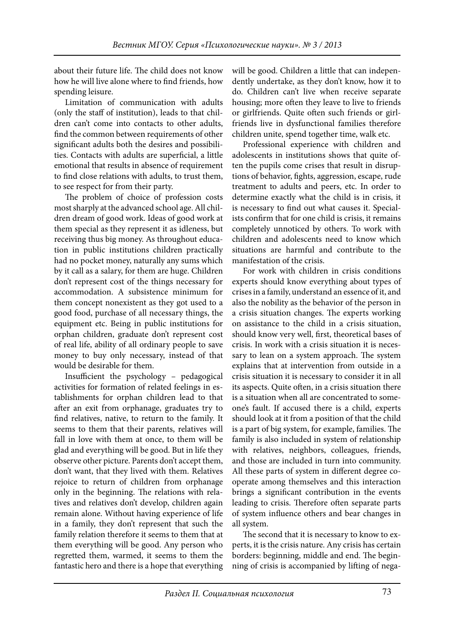about their future life. The child does not know how he will live alone where to find friends, how spending leisure.

Limitation of communication with adults (only the staff of institution), leads to that children can't come into contacts to other adults, find the common between requirements of other significant adults both the desires and possibilities. Contacts with adults are superficial, a little emotional that results in absence of requirement to find close relations with adults, to trust them, to see respect for from their party.

The problem of choice of profession costs most sharply at the advanced school age. All children dream of good work. Ideas of good work at them special as they represent it as idleness, but receiving thus big money. As throughout education in public institutions children practically had no pocket money, naturally any sums which by it call as a salary, for them are huge. Children don't represent cost of the things necessary for accommodation. A subsistence minimum for them concept nonexistent as they got used to a good food, purchase of all necessary things, the equipment etc. Being in public institutions for orphan children, graduate don't represent cost of real life, ability of all ordinary people to save money to buy only necessary, instead of that would be desirable for them.

Insufficient the psychology - pedagogical activities for formation of related feelings in establishments for orphan children lead to that after an exit from orphanage, graduates try to find relatives, native, to return to the family. It seems to them that their parents, relatives will fall in love with them at once, to them will be glad and everything will be good. But in life they observe other picture. Parents don't accept them, don't want, that they lived with them. Relatives rejoice to return of children from orphanage only in the beginning. The relations with relatives and relatives don't develop, children again remain alone. Without having experience of life in a family, they don't represent that such the family relation therefore it seems to them that at them everything will be good. Any person who regretted them, warmed, it seems to them the fantastic hero and there is a hope that everything

will be good. Children a little that can independently undertake, as they don't know, how it to do. Children can't live when receive separate housing; more often they leave to live to friends or girlfriends. Quite often such friends or girlfriends live in dysfunctional families therefore children unite, spend together time, walk etc.

Professional experience with children and adolescents in institutions shows that quite often the pupils come crises that result in disruptions of behavior, fights, aggression, escape, rude treatment to adults and peers, etc. In order to determine exactly what the child is in crisis, it is necessary to find out what causes it. Specialists confirm that for one child is crisis, it remains completely unnoticed by others. To work with children and adolescents need to know which situations are harmful and contribute to the manifestation of the crisis.

For work with children in crisis conditions experts should know everything about types of crises in a family, understand an essence of it, and also the nobility as the behavior of the person in a crisis situation changes. The experts working on assistance to the child in a crisis situation, should know very well, first, theoretical bases of crisis. In work with a crisis situation it is necessary to lean on a system approach. The system explains that at intervention from outside in a crisis situation it is necessary to consider it in all its aspects. Quite often, in a crisis situation there is a situation when all are concentrated to someone's fault. If accused there is a child, experts should look at it from a position of that the child is a part of big system, for example, families. The family is also included in system of relationship with relatives, neighbors, colleagues, friends, and those are included in turn into community. All these parts of system in different degree cooperate among themselves and this interaction brings a significant contribution in the events leading to crisis. Therefore often separate parts of system influence others and bear changes in all system.

The second that it is necessary to know to experts, it is the crisis nature. Any crisis has certain borders: beginning, middle and end. The beginning of crisis is accompanied by lifting of nega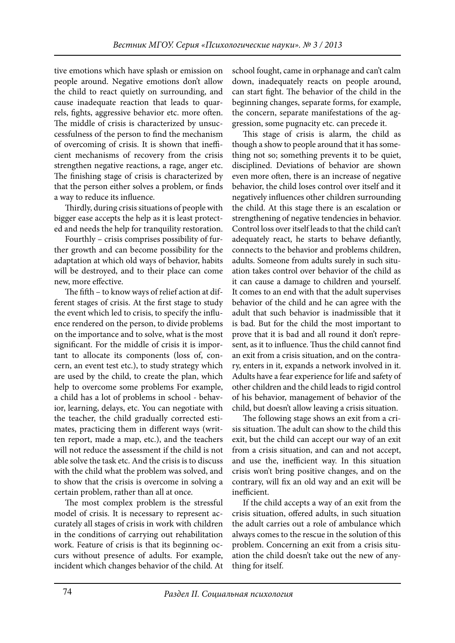tive emotions which have splash or emission on people around. Negative emotions don't allow the child to react quietly on surrounding, and cause inadequate reaction that leads to quarrels, fights, aggressive behavior etc. more often. The middle of crisis is characterized by unsuccessfulness of the person to find the mechanism of overcoming of crisis. It is shown that inefficient mechanisms of recovery from the crisis strengthen negative reactions, a rage, anger etc. The finishing stage of crisis is characterized by that the person either solves a problem, or finds a way to reduce its influence.

Thirdly, during crisis situations of people with bigger ease accepts the help as it is least protected and needs the help for tranquility restoration.

Fourthly – crisis comprises possibility of further growth and can become possibility for the adaptation at which old ways of behavior, habits will be destroyed, and to their place can come new, more effective.

The fifth – to know ways of relief action at different stages of crisis. At the first stage to study the event which led to crisis, to specify the influence rendered on the person, to divide problems on the importance and to solve, what is the most significant. For the middle of crisis it is important to allocate its components (loss of, concern, an event test etc.), to study strategy which are used by the child, to create the plan, which help to overcome some problems For example, a child has a lot of problems in school - behavior, learning, delays, etc. You can negotiate with the teacher, the child gradually corrected estimates, practicing them in different ways (written report, made a map, etc.), and the teachers will not reduce the assessment if the child is not able solve the task etc. And the crisis is to discuss with the child what the problem was solved, and to show that the crisis is overcome in solving a certain problem, rather than all at once.

The most complex problem is the stressful model of crisis. It is necessary to represent accurately all stages of crisis in work with children in the conditions of carrying out rehabilitation work. Feature of crisis is that its beginning occurs without presence of adults. For example, incident which changes behavior of the child. At

school fought, came in orphanage and can't calm down, inadequately reacts on people around, can start fight. The behavior of the child in the beginning changes, separate forms, for example, the concern, separate manifestations of the aggression, some pugnacity etc. can precede it.

This stage of crisis is alarm, the child as though a show to people around that it has something not so; something prevents it to be quiet, disciplined. Deviations of behavior are shown even more often, there is an increase of negative behavior, the child loses control over itself and it negatively influences other children surrounding the child. At this stage there is an escalation or strengthening of negative tendencies in behavior. Control loss over itself leads to that the child can't adequately react, he starts to behave defiantly, connects to the behavior and problems children, adults. Someone from adults surely in such situation takes control over behavior of the child as it can cause a damage to children and yourself. It comes to an end with that the adult supervises behavior of the child and he can agree with the adult that such behavior is inadmissible that it is bad. But for the child the most important to prove that it is bad and all round it don't represent, as it to influence. Thus the child cannot find an exit from a crisis situation, and on the contrary, enters in it, expands a network involved in it. Adults have a fear experience for life and safety of other children and the child leads to rigid control of his behavior, management of behavior of the child, but doesn't allow leaving a crisis situation.

The following stage shows an exit from a crisis situation. The adult can show to the child this exit, but the child can accept our way of an exit from a crisis situation, and can and not accept, and use the, inefficient way. In this situation crisis won't bring positive changes, and on the contrary, will fix an old way and an exit will be inefficient.

If the child accepts a way of an exit from the crisis situation, offered adults, in such situation the adult carries out a role of ambulance which always comes to the rescue in the solution of this problem. Concerning an exit from a crisis situation the child doesn't take out the new of anything for itself.